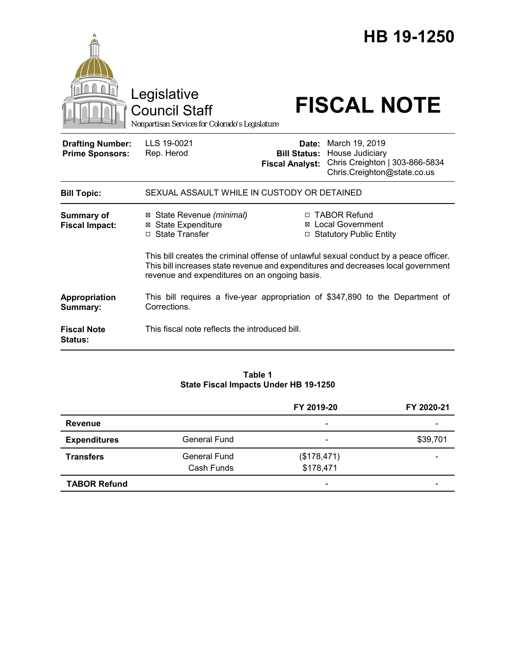|                                                   | Legislative<br><b>Council Staff</b><br>Nonpartisan Services for Colorado's Legislature         |                                                                                                                                                                                                                                                           |                                                             | HB 19-1250<br><b>FISCAL NOTE</b>                              |  |
|---------------------------------------------------|------------------------------------------------------------------------------------------------|-----------------------------------------------------------------------------------------------------------------------------------------------------------------------------------------------------------------------------------------------------------|-------------------------------------------------------------|---------------------------------------------------------------|--|
| <b>Drafting Number:</b><br><b>Prime Sponsors:</b> | LLS 19-0021<br>Rep. Herod                                                                      | <b>Fiscal Analyst:</b>                                                                                                                                                                                                                                    | Date: March 19, 2019<br><b>Bill Status: House Judiciary</b> | Chris Creighton   303-866-5834<br>Chris.Creighton@state.co.us |  |
| <b>Bill Topic:</b>                                | SEXUAL ASSAULT WHILE IN CUSTODY OR DETAINED                                                    |                                                                                                                                                                                                                                                           |                                                             |                                                               |  |
| <b>Summary of</b><br><b>Fiscal Impact:</b>        | State Revenue (minimal)<br>⊠<br><b>State Expenditure</b><br>⊠<br>□ State Transfer              | □ TABOR Refund<br><b>Local Government</b><br>⊠<br>□ Statutory Public Entity<br>This bill creates the criminal offense of unlawful sexual conduct by a peace officer.<br>This bill increases state revenue and expenditures and decreases local government |                                                             |                                                               |  |
|                                                   | revenue and expenditures on an ongoing basis.                                                  |                                                                                                                                                                                                                                                           |                                                             |                                                               |  |
| Appropriation<br>Summary:                         | This bill requires a five-year appropriation of \$347,890 to the Department of<br>Corrections. |                                                                                                                                                                                                                                                           |                                                             |                                                               |  |
| <b>Fiscal Note</b><br>Status:                     | This fiscal note reflects the introduced bill.                                                 |                                                                                                                                                                                                                                                           |                                                             |                                                               |  |

#### **Table 1 State Fiscal Impacts Under HB 19-1250**

|                     |                     | FY 2019-20               | FY 2020-21 |
|---------------------|---------------------|--------------------------|------------|
| <b>Revenue</b>      |                     | $\overline{\phantom{a}}$ |            |
| <b>Expenditures</b> | <b>General Fund</b> | $\overline{\phantom{a}}$ | \$39,701   |
| <b>Transfers</b>    | General Fund        | (\$178,471)              |            |
|                     | Cash Funds          | \$178,471                |            |
| <b>TABOR Refund</b> |                     | $\overline{\phantom{a}}$ |            |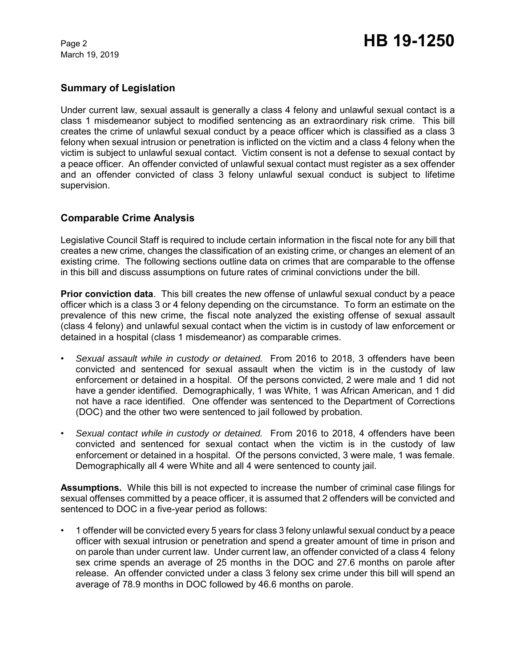## **Summary of Legislation**

Under current law, sexual assault is generally a class 4 felony and unlawful sexual contact is a class 1 misdemeanor subject to modified sentencing as an extraordinary risk crime. This bill creates the crime of unlawful sexual conduct by a peace officer which is classified as a class 3 felony when sexual intrusion or penetration is inflicted on the victim and a class 4 felony when the victim is subject to unlawful sexual contact. Victim consent is not a defense to sexual contact by a peace officer. An offender convicted of unlawful sexual contact must register as a sex offender and an offender convicted of class 3 felony unlawful sexual conduct is subject to lifetime supervision.

### **Comparable Crime Analysis**

Legislative Council Staff is required to include certain information in the fiscal note for any bill that creates a new crime, changes the classification of an existing crime, or changes an element of an existing crime. The following sections outline data on crimes that are comparable to the offense in this bill and discuss assumptions on future rates of criminal convictions under the bill.

**Prior conviction data**. This bill creates the new offense of unlawful sexual conduct by a peace officer which is a class 3 or 4 felony depending on the circumstance. To form an estimate on the prevalence of this new crime, the fiscal note analyzed the existing offense of sexual assault (class 4 felony) and unlawful sexual contact when the victim is in custody of law enforcement or detained in a hospital (class 1 misdemeanor) as comparable crimes.

- *Sexual assault while in custody or detained.* From 2016 to 2018, 3 offenders have been convicted and sentenced for sexual assault when the victim is in the custody of law enforcement or detained in a hospital. Of the persons convicted, 2 were male and 1 did not have a gender identified. Demographically, 1 was White, 1 was African American, and 1 did not have a race identified. One offender was sentenced to the Department of Corrections (DOC) and the other two were sentenced to jail followed by probation.
- *Sexual contact while in custody or detained.* From 2016 to 2018, 4 offenders have been convicted and sentenced for sexual contact when the victim is in the custody of law enforcement or detained in a hospital. Of the persons convicted, 3 were male, 1 was female. Demographically all 4 were White and all 4 were sentenced to county jail.

**Assumptions.** While this bill is not expected to increase the number of criminal case filings for sexual offenses committed by a peace officer, it is assumed that 2 offenders will be convicted and sentenced to DOC in a five-year period as follows:

• 1 offender will be convicted every 5 years for class 3 felony unlawful sexual conduct by a peace officer with sexual intrusion or penetration and spend a greater amount of time in prison and on parole than under current law. Under current law, an offender convicted of a class 4 felony sex crime spends an average of 25 months in the DOC and 27.6 months on parole after release. An offender convicted under a class 3 felony sex crime under this bill will spend an average of 78.9 months in DOC followed by 46.6 months on parole.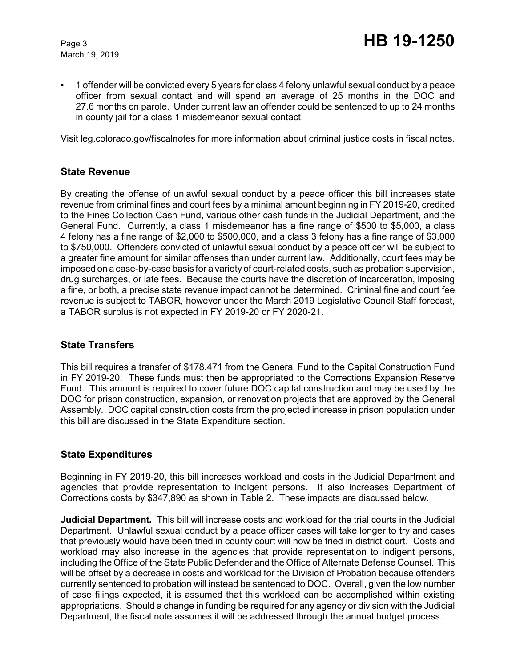• 1 offender will be convicted every 5 years for class 4 felony unlawful sexual conduct by a peace officer from sexual contact and will spend an average of 25 months in the DOC and 27.6 months on parole. Under current law an offender could be sentenced to up to 24 months in county jail for a class 1 misdemeanor sexual contact.

Visit leg.colorado.gov/fiscalnotes for more information about criminal justice costs in fiscal notes.

#### **State Revenue**

By creating the offense of unlawful sexual conduct by a peace officer this bill increases state revenue from criminal fines and court fees by a minimal amount beginning in FY 2019-20, credited to the Fines Collection Cash Fund, various other cash funds in the Judicial Department, and the General Fund. Currently, a class 1 misdemeanor has a fine range of \$500 to \$5,000, a class 4 felony has a fine range of \$2,000 to \$500,000, and a class 3 felony has a fine range of \$3,000 to \$750,000. Offenders convicted of unlawful sexual conduct by a peace officer will be subject to a greater fine amount for similar offenses than under current law. Additionally, court fees may be imposed on a case-by-case basis for a variety of court-related costs, such as probation supervision, drug surcharges, or late fees. Because the courts have the discretion of incarceration, imposing a fine, or both, a precise state revenue impact cannot be determined. Criminal fine and court fee revenue is subject to TABOR, however under the March 2019 Legislative Council Staff forecast, a TABOR surplus is not expected in FY 2019-20 or FY 2020-21.

#### **State Transfers**

This bill requires a transfer of \$178,471 from the General Fund to the Capital Construction Fund in FY 2019-20. These funds must then be appropriated to the Corrections Expansion Reserve Fund. This amount is required to cover future DOC capital construction and may be used by the DOC for prison construction, expansion, or renovation projects that are approved by the General Assembly. DOC capital construction costs from the projected increase in prison population under this bill are discussed in the State Expenditure section.

# **State Expenditures**

Beginning in FY 2019-20, this bill increases workload and costs in the Judicial Department and agencies that provide representation to indigent persons. It also increases Department of Corrections costs by \$347,890 as shown in Table 2. These impacts are discussed below.

**Judicial Department***.* This bill will increase costs and workload for the trial courts in the Judicial Department. Unlawful sexual conduct by a peace officer cases will take longer to try and cases that previously would have been tried in county court will now be tried in district court. Costs and workload may also increase in the agencies that provide representation to indigent persons, including the Office of the State Public Defender and the Office of Alternate Defense Counsel. This will be offset by a decrease in costs and workload for the Division of Probation because offenders currently sentenced to probation will instead be sentenced to DOC. Overall, given the low number of case filings expected, it is assumed that this workload can be accomplished within existing appropriations. Should a change in funding be required for any agency or division with the Judicial Department, the fiscal note assumes it will be addressed through the annual budget process.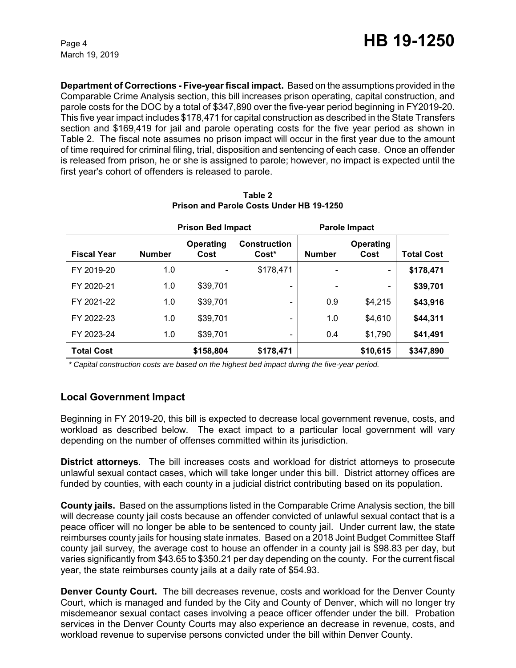**Department of Corrections - Five-year fiscal impact.** Based on the assumptions provided in the Comparable Crime Analysis section, this bill increases prison operating, capital construction, and parole costs for the DOC by a total of \$347,890 over the five-year period beginning in FY2019-20. This five year impact includes \$178,471 for capital construction as described in the State Transfers section and \$169,419 for jail and parole operating costs for the five year period as shown in Table 2. The fiscal note assumes no prison impact will occur in the first year due to the amount of time required for criminal filing, trial, disposition and sentencing of each case. Once an offender is released from prison, he or she is assigned to parole; however, no impact is expected until the first year's cohort of offenders is released to parole.

|                    | <b>Prison Bed Impact</b> |                   | Parole Impact                            |               |                          |                   |
|--------------------|--------------------------|-------------------|------------------------------------------|---------------|--------------------------|-------------------|
| <b>Fiscal Year</b> | <b>Number</b>            | Operating<br>Cost | <b>Construction</b><br>Cost <sup>*</sup> | <b>Number</b> | Operating<br>Cost        | <b>Total Cost</b> |
| FY 2019-20         | 1.0                      |                   | \$178,471                                |               | $\overline{\phantom{0}}$ | \$178,471         |
| FY 2020-21         | 1.0                      | \$39,701          |                                          |               |                          | \$39,701          |
| FY 2021-22         | 1.0                      | \$39,701          | $\qquad \qquad \blacksquare$             | 0.9           | \$4,215                  | \$43,916          |
| FY 2022-23         | 1.0                      | \$39,701          |                                          | 1.0           | \$4,610                  | \$44,311          |
| FY 2023-24         | 1.0                      | \$39,701          | -                                        | 0.4           | \$1,790                  | \$41,491          |
| <b>Total Cost</b>  |                          | \$158,804         | \$178,471                                |               | \$10,615                 | \$347,890         |

**Table 2 Prison and Parole Costs Under HB 19-1250**

 *\* Capital construction costs are based on the highest bed impact during the five-year period.* 

# **Local Government Impact**

Beginning in FY 2019-20, this bill is expected to decrease local government revenue, costs, and workload as described below. The exact impact to a particular local government will vary depending on the number of offenses committed within its jurisdiction.

**District attorneys**. The bill increases costs and workload for district attorneys to prosecute unlawful sexual contact cases, which will take longer under this bill. District attorney offices are funded by counties, with each county in a judicial district contributing based on its population.

**County jails.** Based on the assumptions listed in the Comparable Crime Analysis section, the bill will decrease county jail costs because an offender convicted of unlawful sexual contact that is a peace officer will no longer be able to be sentenced to county jail. Under current law, the state reimburses county jails for housing state inmates. Based on a 2018 Joint Budget Committee Staff county jail survey, the average cost to house an offender in a county jail is \$98.83 per day, but varies significantly from \$43.65 to \$350.21 per day depending on the county. For the current fiscal year, the state reimburses county jails at a daily rate of \$54.93.

**Denver County Court.** The bill decreases revenue, costs and workload for the Denver County Court, which is managed and funded by the City and County of Denver, which will no longer try misdemeanor sexual contact cases involving a peace officer offender under the bill. Probation services in the Denver County Courts may also experience an decrease in revenue, costs, and workload revenue to supervise persons convicted under the bill within Denver County.